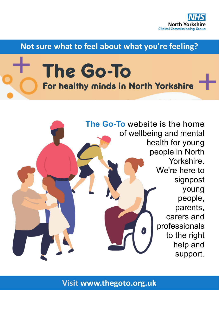

**Not sure what to feel about what you're feeling?**

## The Go-To For healthy minds in North Yorkshire



**Visit www.thegoto.org.uk**